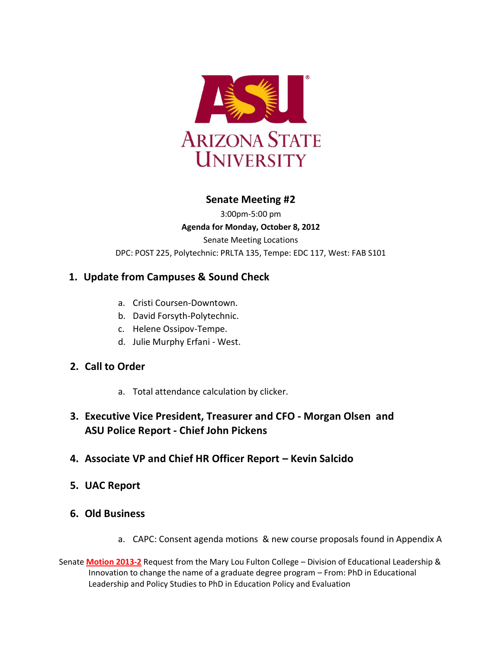

# **Senate Meeting #2**

3:00pm-5:00 pm **Agenda for Monday, October 8, 2012** Senate Meeting Locations DPC: POST 225, Polytechnic: PRLTA 135, Tempe: EDC 117, West: FAB S101

# **1. Update from Campuses & Sound Check**

- a. Cristi Coursen-Downtown.
- b. David Forsyth-Polytechnic.
- c. Helene Ossipov-Tempe.
- d. Julie Murphy Erfani West.

# **2. Call to Order**

a. Total attendance calculation by clicker.

# **3. Executive Vice President, Treasurer and CFO - Morgan Olsen and ASU Police Report - Chief John Pickens**

- **4. Associate VP and Chief HR Officer Report – Kevin Salcido**
- **5. UAC Report**
- **6. Old Business**
	- a. CAPC: Consent agenda motions & new course proposals found in Appendix A
- Senate **[Motion 2013-2](http://usenate.asu.edu/node/4419)** Request from the Mary Lou Fulton College Division of Educational Leadership & Innovation to change the name of a graduate degree program – From: PhD in Educational Leadership and Policy Studies to PhD in Education Policy and Evaluation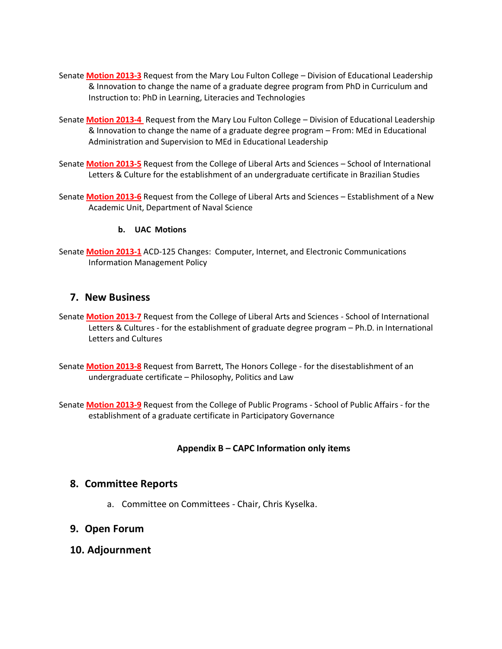- Senate **[Motion 2013-3](http://usenate.asu.edu/node/4420)** Request from the Mary Lou Fulton College Division of Educational Leadership & Innovation to change the name of a graduate degree program from PhD in Curriculum and Instruction to: PhD in Learning, Literacies and Technologies
- Senate **[Motion 2013-4](http://usenate.asu.edu/node/4421)** Request from the Mary Lou Fulton College Division of Educational Leadership & Innovation to change the name of a graduate degree program – From: MEd in Educational Administration and Supervision to MEd in Educational Leadership
- Senate **[Motion 2013-5](http://usenate.asu.edu/node/4422)** Request from the College of Liberal Arts and Sciences School of International Letters & Culture for the establishment of an undergraduate certificate in Brazilian Studies
- Senate **[Motion 2013-6](http://usenate.asu.edu/node/4423)** Request from the College of Liberal Arts and Sciences Establishment of a New Academic Unit, Department of Naval Science

#### **b. UAC Motions**

Senate **[Motion 2013-1](http://usenate.asu.edu/node/4424)** ACD-125 Changes: Computer, Internet, and Electronic Communications Information Management Policy

# **7. New Business**

- Senate **[Motion 2013-7](http://usenate.asu.edu/node/4433)** Request from the College of Liberal Arts and Sciences School of International Letters & Cultures - for the establishment of graduate degree program – Ph.D. in International Letters and Cultures
- Senate **[Motion 2013-8](http://usenate.asu.edu/node/4434)** Request from Barrett, The Honors College for the disestablishment of an undergraduate certificate – Philosophy, Politics and Law
- Senate **[Motion 2013-9](http://usenate.asu.edu/node/4435)** Request from the College of Public Programs School of Public Affairs for the establishment of a graduate certificate in Participatory Governance

# **Appendix B – CAPC Information only items**

# **8. Committee Reports**

a. Committee on Committees - Chair, Chris Kyselka.

# **9. Open Forum**

**10. Adjournment**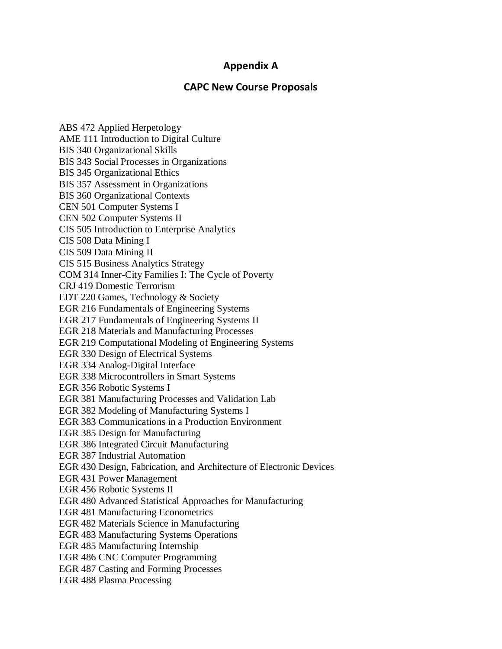# **Appendix A**

# **CAPC New Course Proposals**

ABS 472 Applied Herpetology AME 111 Introduction to Digital Culture BIS 340 Organizational Skills BIS 343 Social Processes in Organizations BIS 345 Organizational Ethics BIS 357 Assessment in Organizations BIS 360 Organizational Contexts CEN 501 Computer Systems I CEN 502 Computer Systems II CIS 505 Introduction to Enterprise Analytics CIS 508 Data Mining I CIS 509 Data Mining II CIS 515 Business Analytics Strategy COM 314 Inner-City Families I: The Cycle of Poverty CRJ 419 Domestic Terrorism EDT 220 Games, Technology & Society EGR 216 Fundamentals of Engineering Systems EGR 217 Fundamentals of Engineering Systems II EGR 218 Materials and Manufacturing Processes EGR 219 Computational Modeling of Engineering Systems EGR 330 Design of Electrical Systems EGR 334 Analog-Digital Interface EGR 338 Microcontrollers in Smart Systems EGR 356 Robotic Systems I EGR 381 Manufacturing Processes and Validation Lab EGR 382 Modeling of Manufacturing Systems I EGR 383 Communications in a Production Environment EGR 385 Design for Manufacturing EGR 386 Integrated Circuit Manufacturing EGR 387 Industrial Automation EGR 430 Design, Fabrication, and Architecture of Electronic Devices EGR 431 Power Management EGR 456 Robotic Systems II EGR 480 Advanced Statistical Approaches for Manufacturing EGR 481 Manufacturing Econometrics EGR 482 Materials Science in Manufacturing EGR 483 Manufacturing Systems Operations EGR 485 Manufacturing Internship EGR 486 CNC Computer Programming EGR 487 Casting and Forming Processes EGR 488 Plasma Processing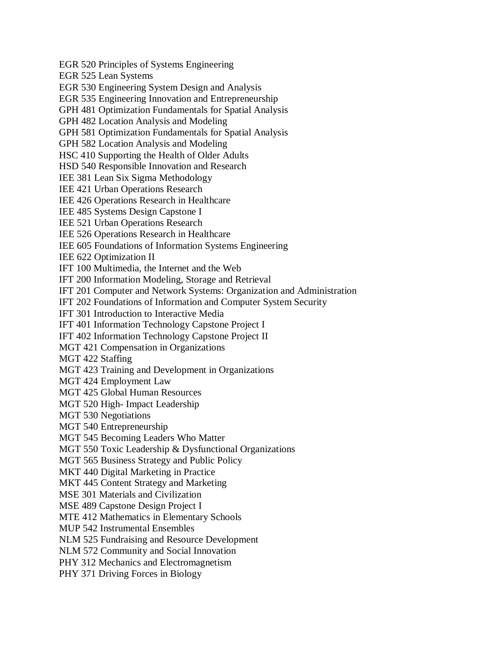EGR 520 Principles of Systems Engineering EGR 525 Lean Systems EGR 530 Engineering System Design and Analysis EGR 535 Engineering Innovation and Entrepreneurship GPH 481 Optimization Fundamentals for Spatial Analysis GPH 482 Location Analysis and Modeling GPH 581 Optimization Fundamentals for Spatial Analysis GPH 582 Location Analysis and Modeling HSC 410 Supporting the Health of Older Adults HSD 540 Responsible Innovation and Research IEE 381 Lean Six Sigma Methodology IEE 421 Urban Operations Research IEE 426 Operations Research in Healthcare IEE 485 Systems Design Capstone I IEE 521 Urban Operations Research IEE 526 Operations Research in Healthcare IEE 605 Foundations of Information Systems Engineering IEE 622 Optimization II IFT 100 Multimedia, the Internet and the Web IFT 200 Information Modeling, Storage and Retrieval IFT 201 Computer and Network Systems: Organization and Administration IFT 202 Foundations of Information and Computer System Security IFT 301 Introduction to Interactive Media IFT 401 Information Technology Capstone Project I IFT 402 Information Technology Capstone Project II MGT 421 Compensation in Organizations MGT 422 Staffing MGT 423 Training and Development in Organizations MGT 424 Employment Law MGT 425 Global Human Resources MGT 520 High- Impact Leadership MGT 530 Negotiations MGT 540 Entrepreneurship MGT 545 Becoming Leaders Who Matter MGT 550 Toxic Leadership & Dysfunctional Organizations MGT 565 Business Strategy and Public Policy MKT 440 Digital Marketing in Practice MKT 445 Content Strategy and Marketing MSE 301 Materials and Civilization MSE 489 Capstone Design Project I MTE 412 Mathematics in Elementary Schools MUP 542 Instrumental Ensembles NLM 525 Fundraising and Resource Development NLM 572 Community and Social Innovation PHY 312 Mechanics and Electromagnetism PHY 371 Driving Forces in Biology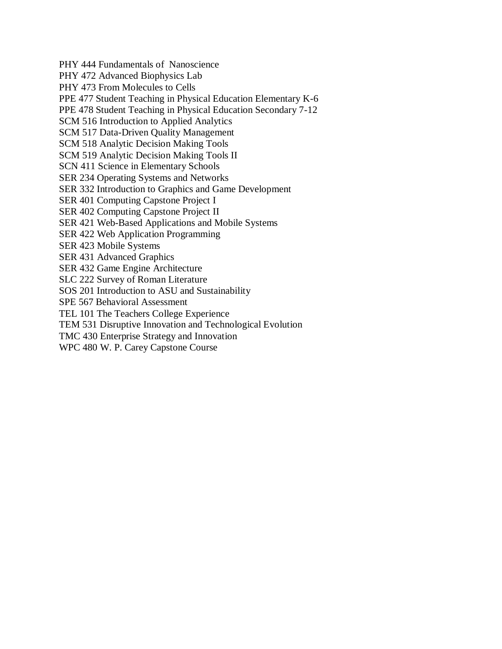PHY 444 Fundamentals of Nanoscience PHY 472 Advanced Biophysics Lab PHY 473 From Molecules to Cells PPE 477 Student Teaching in Physical Education Elementary K-6 PPE 478 Student Teaching in Physical Education Secondary 7-12 SCM 516 Introduction to Applied Analytics SCM 517 Data-Driven Quality Management SCM 518 Analytic Decision Making Tools SCM 519 Analytic Decision Making Tools II SCN 411 Science in Elementary Schools SER 234 Operating Systems and Networks SER 332 Introduction to Graphics and Game Development SER 401 Computing Capstone Project I SER 402 Computing Capstone Project II SER 421 Web-Based Applications and Mobile Systems SER 422 Web Application Programming SER 423 Mobile Systems SER 431 Advanced Graphics SER 432 Game Engine Architecture SLC 222 Survey of Roman Literature SOS 201 Introduction to ASU and Sustainability SPE 567 Behavioral Assessment TEL 101 The Teachers College Experience TEM 531 Disruptive Innovation and Technological Evolution TMC 430 Enterprise Strategy and Innovation WPC 480 W. P. Carey Capstone Course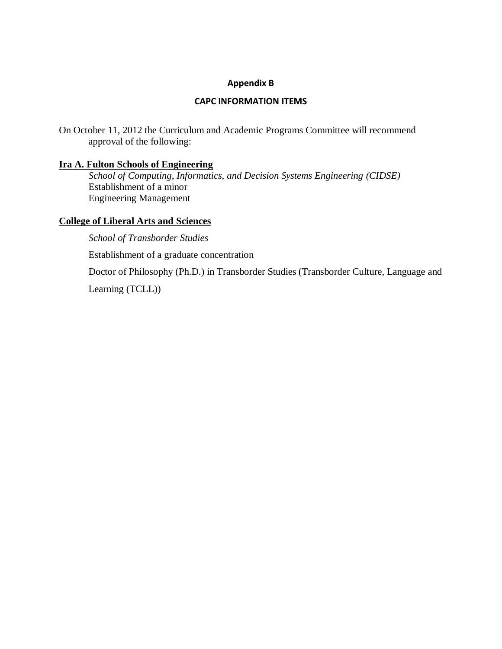# **Appendix B**

# **CAPC INFORMATION ITEMS**

On October 11, 2012 the Curriculum and Academic Programs Committee will recommend approval of the following:

# **Ira A. Fulton Schools of Engineering**

*School of Computing, Informatics, and Decision Systems Engineering (CIDSE)* Establishment of a minor Engineering Management

# **College of Liberal Arts and Sciences**

*School of Transborder Studies*

Establishment of a graduate concentration

Doctor of Philosophy (Ph.D.) in Transborder Studies (Transborder Culture, Language and

Learning (TCLL))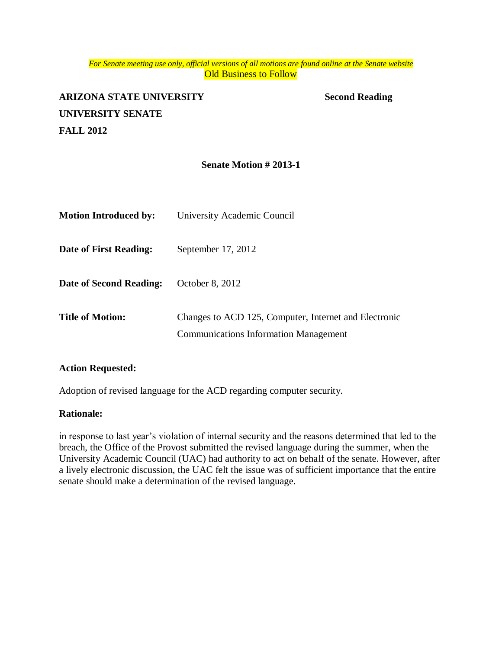#### *For Senate meeting use only, official versions of all motions are found online at the Senate website* **Old Business to Follow**

# **ARIZONA STATE UNIVERSITY Second Reading UNIVERSITY SENATE FALL 2012**

# **Senate Motion # 2013-1**

| <b>Motion Introduced by:</b> | University Academic Council                                                                           |
|------------------------------|-------------------------------------------------------------------------------------------------------|
| Date of First Reading:       | September $17, 2012$                                                                                  |
| Date of Second Reading:      | October 8, 2012                                                                                       |
| <b>Title of Motion:</b>      | Changes to ACD 125, Computer, Internet and Electronic<br><b>Communications Information Management</b> |

#### **Action Requested:**

Adoption of revised language for the ACD regarding computer security.

#### **Rationale:**

in response to last year's violation of internal security and the reasons determined that led to the breach, the Office of the Provost submitted the revised language during the summer, when the University Academic Council (UAC) had authority to act on behalf of the senate. However, after a lively electronic discussion, the UAC felt the issue was of sufficient importance that the entire senate should make a determination of the revised language.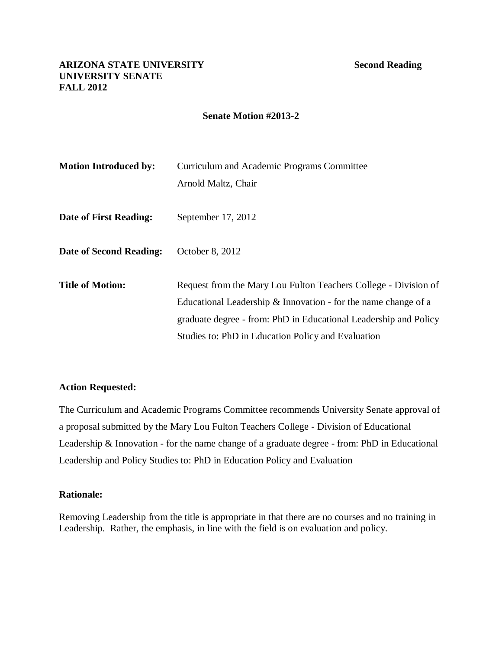# **Senate Motion #2013-2**

| <b>Motion Introduced by:</b> | Curriculum and Academic Programs Committee<br>Arnold Maltz, Chair                                                                                                                                                                                           |
|------------------------------|-------------------------------------------------------------------------------------------------------------------------------------------------------------------------------------------------------------------------------------------------------------|
| Date of First Reading:       | September 17, 2012                                                                                                                                                                                                                                          |
| Date of Second Reading:      | October 8, 2012                                                                                                                                                                                                                                             |
| <b>Title of Motion:</b>      | Request from the Mary Lou Fulton Teachers College - Division of<br>Educational Leadership & Innovation - for the name change of a<br>graduate degree - from: PhD in Educational Leadership and Policy<br>Studies to: PhD in Education Policy and Evaluation |

# **Action Requested:**

The Curriculum and Academic Programs Committee recommends University Senate approval of a proposal submitted by the Mary Lou Fulton Teachers College - Division of Educational Leadership & Innovation - for the name change of a graduate degree - from: PhD in Educational Leadership and Policy Studies to: PhD in Education Policy and Evaluation

# **Rationale:**

Removing Leadership from the title is appropriate in that there are no courses and no training in Leadership. Rather, the emphasis, in line with the field is on evaluation and policy.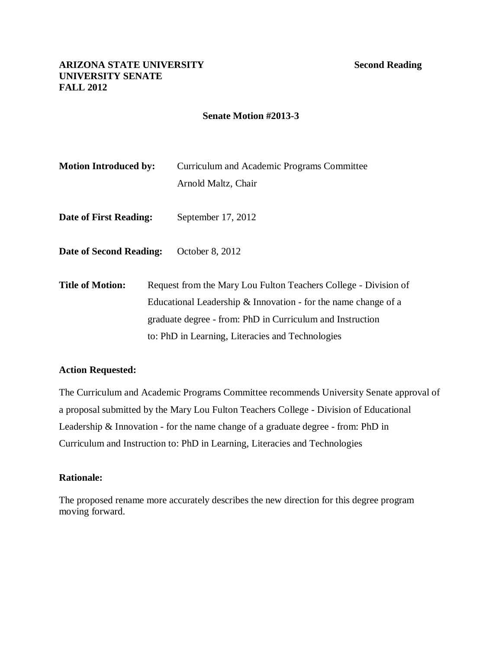# **Senate Motion #2013-3**

| <b>Motion Introduced by:</b>   | Curriculum and Academic Programs Committee                       |
|--------------------------------|------------------------------------------------------------------|
|                                | Arnold Maltz, Chair                                              |
| Date of First Reading:         | September 17, 2012                                               |
| <b>Date of Second Reading:</b> | October 8, 2012                                                  |
| <b>Title of Motion:</b>        | Request from the Mary Lou Fulton Teachers College - Division of  |
|                                | Educational Leadership $&$ Innovation - for the name change of a |
|                                | graduate degree - from: PhD in Curriculum and Instruction        |
|                                | to: PhD in Learning, Literacies and Technologies                 |

# **Action Requested:**

The Curriculum and Academic Programs Committee recommends University Senate approval of a proposal submitted by the Mary Lou Fulton Teachers College - Division of Educational Leadership & Innovation - for the name change of a graduate degree - from: PhD in Curriculum and Instruction to: PhD in Learning, Literacies and Technologies

# **Rationale:**

The proposed rename more accurately describes the new direction for this degree program moving forward.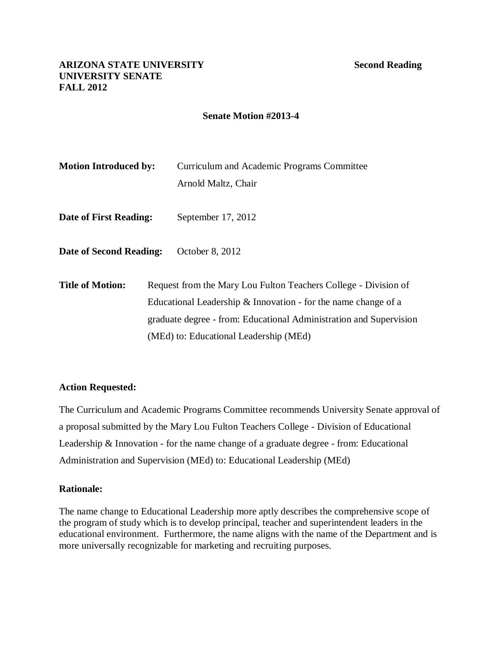# **Senate Motion #2013-4**

| <b>Motion Introduced by:</b>   | Curriculum and Academic Programs Committee                         |
|--------------------------------|--------------------------------------------------------------------|
|                                | Arnold Maltz, Chair                                                |
| Date of First Reading:         | September 17, 2012                                                 |
| <b>Date of Second Reading:</b> | October 8, 2012                                                    |
| <b>Title of Motion:</b>        | Request from the Mary Lou Fulton Teachers College - Division of    |
|                                | Educational Leadership $\&$ Innovation - for the name change of a  |
|                                | graduate degree - from: Educational Administration and Supervision |
|                                | (MEd) to: Educational Leadership (MEd)                             |

# **Action Requested:**

The Curriculum and Academic Programs Committee recommends University Senate approval of a proposal submitted by the Mary Lou Fulton Teachers College - Division of Educational Leadership & Innovation - for the name change of a graduate degree - from: Educational Administration and Supervision (MEd) to: Educational Leadership (MEd)

# **Rationale:**

The name change to Educational Leadership more aptly describes the comprehensive scope of the program of study which is to develop principal, teacher and superintendent leaders in the educational environment. Furthermore, the name aligns with the name of the Department and is more universally recognizable for marketing and recruiting purposes.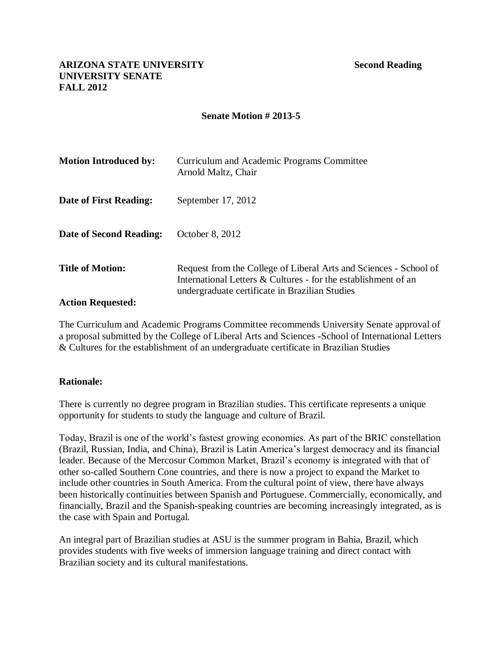# **Senate Motion # 2013-5**

| <b>Motion Introduced by:</b> | Curriculum and Academic Programs Committee<br>Arnold Maltz, Chair                                                                                                                     |
|------------------------------|---------------------------------------------------------------------------------------------------------------------------------------------------------------------------------------|
| Date of First Reading:       | September 17, 2012                                                                                                                                                                    |
| Date of Second Reading:      | October 8, 2012                                                                                                                                                                       |
| <b>Title of Motion:</b>      | Request from the College of Liberal Arts and Sciences - School of<br>International Letters & Cultures - for the establishment of an<br>undergraduate certificate in Brazilian Studies |
| <b>Action Requested:</b>     |                                                                                                                                                                                       |

The Curriculum and Academic Programs Committee recommends University Senate approval of a proposal submitted by the College of Liberal Arts and Sciences -School of International Letters & Cultures for the establishment of an undergraduate certificate in Brazilian Studies

# **Rationale:**

There is currently no degree program in Brazilian studies. This certificate represents a unique opportunity for students to study the language and culture of Brazil.

Today, Brazil is one of the world's fastest growing economies. As part of the BRIC constellation (Brazil, Russian, India, and China), Brazil is Latin America's largest democracy and its financial leader. Because of the Mercosur Common Market, Brazil's economy is integrated with that of other so-called Southern Cone countries, and there is now a project to expand the Market to include other countries in South America. From the cultural point of view, there have always been historically continuities between Spanish and Portuguese. Commercially, economically, and financially, Brazil and the Spanish-speaking countries are becoming increasingly integrated, as is the case with Spain and Portugal.

An integral part of Brazilian studies at ASU is the summer program in Bahia, Brazil, which provides students with five weeks of immersion language training and direct contact with Brazilian society and its cultural manifestations.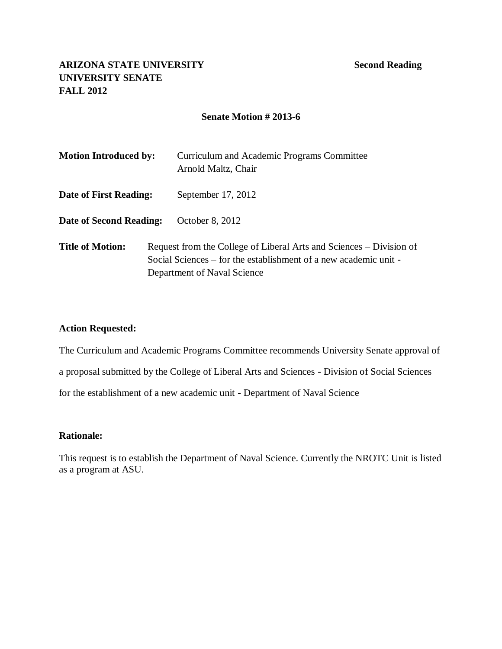# **ARIZONA STATE UNIVERSITY Second Reading UNIVERSITY SENATE FALL 2012**

# **Senate Motion # 2013-6**

| <b>Motion Introduced by:</b> | Curriculum and Academic Programs Committee<br>Arnold Maltz, Chair                                                                                                      |
|------------------------------|------------------------------------------------------------------------------------------------------------------------------------------------------------------------|
| Date of First Reading:       | September $17, 2012$                                                                                                                                                   |
| Date of Second Reading:      | October 8, 2012                                                                                                                                                        |
| <b>Title of Motion:</b>      | Request from the College of Liberal Arts and Sciences – Division of<br>Social Sciences – for the establishment of a new academic unit -<br>Department of Naval Science |

# **Action Requested:**

The Curriculum and Academic Programs Committee recommends University Senate approval of a proposal submitted by the College of Liberal Arts and Sciences - Division of Social Sciences for the establishment of a new academic unit - Department of Naval Science

# **Rationale:**

This request is to establish the Department of Naval Science. Currently the NROTC Unit is listed as a program at ASU.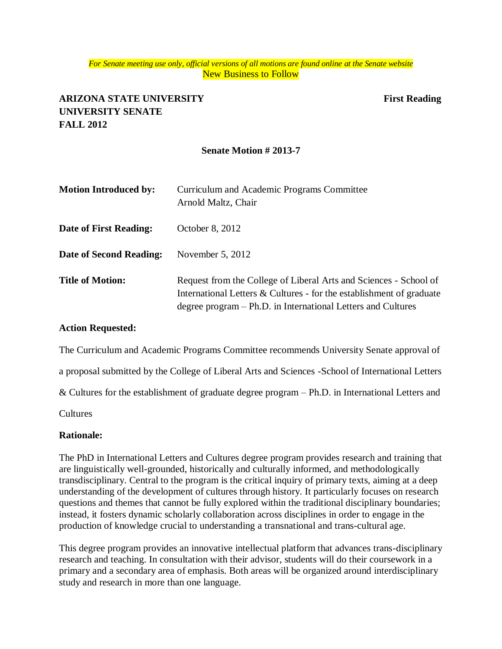#### *For Senate meeting use only, official versions of all motions are found online at the Senate website* New Business to Follow

# **ARIZONA STATE UNIVERSITY First Reading UNIVERSITY SENATE FALL 2012**

# **Senate Motion # 2013-7**

| <b>Motion Introduced by:</b> | Curriculum and Academic Programs Committee<br>Arnold Maltz, Chair                                                                                                                                         |
|------------------------------|-----------------------------------------------------------------------------------------------------------------------------------------------------------------------------------------------------------|
| Date of First Reading:       | October 8, 2012                                                                                                                                                                                           |
| Date of Second Reading:      | November $5, 2012$                                                                                                                                                                                        |
| <b>Title of Motion:</b>      | Request from the College of Liberal Arts and Sciences - School of<br>International Letters & Cultures - for the establishment of graduate<br>degree program – Ph.D. in International Letters and Cultures |

#### **Action Requested:**

The Curriculum and Academic Programs Committee recommends University Senate approval of

a proposal submitted by the College of Liberal Arts and Sciences -School of International Letters

& Cultures for the establishment of graduate degree program – Ph.D. in International Letters and

Cultures

#### **Rationale:**

The PhD in International Letters and Cultures degree program provides research and training that are linguistically well-grounded, historically and culturally informed, and methodologically transdisciplinary. Central to the program is the critical inquiry of primary texts, aiming at a deep understanding of the development of cultures through history. It particularly focuses on research questions and themes that cannot be fully explored within the traditional disciplinary boundaries; instead, it fosters dynamic scholarly collaboration across disciplines in order to engage in the production of knowledge crucial to understanding a transnational and trans-cultural age.

This degree program provides an innovative intellectual platform that advances trans-disciplinary research and teaching. In consultation with their advisor, students will do their coursework in a primary and a secondary area of emphasis. Both areas will be organized around interdisciplinary study and research in more than one language.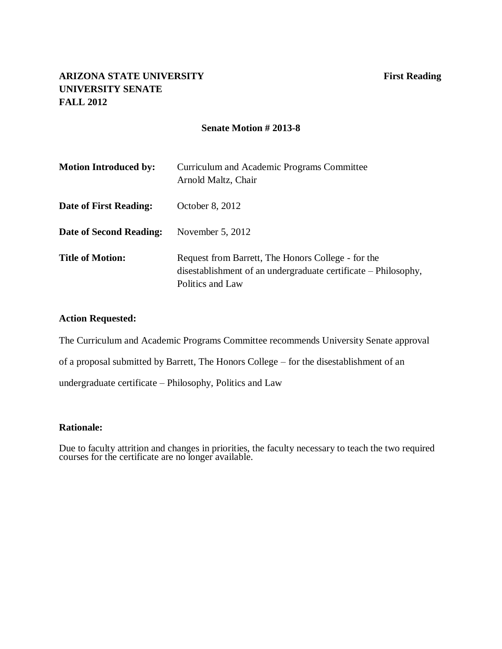# **ARIZONA STATE UNIVERSITY First Reading UNIVERSITY SENATE FALL 2012**

# **Senate Motion # 2013-8**

| <b>Motion Introduced by:</b> | Curriculum and Academic Programs Committee<br>Arnold Maltz, Chair                                                                        |
|------------------------------|------------------------------------------------------------------------------------------------------------------------------------------|
| Date of First Reading:       | October 8, 2012                                                                                                                          |
| Date of Second Reading:      | November $5, 2012$                                                                                                                       |
| <b>Title of Motion:</b>      | Request from Barrett, The Honors College - for the<br>disestablishment of an undergraduate certificate – Philosophy,<br>Politics and Law |

# **Action Requested:**

The Curriculum and Academic Programs Committee recommends University Senate approval

of a proposal submitted by Barrett, The Honors College – for the disestablishment of an

undergraduate certificate – Philosophy, Politics and Law

#### **Rationale:**

Due to faculty attrition and changes in priorities, the faculty necessary to teach the two required courses for the certificate are no longer available.